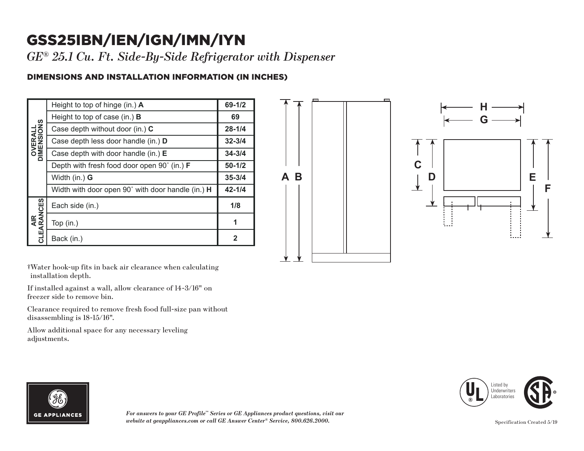## GSS25IBN/IEN/IGN/IMN/IYN

*GE ® 25.1 Cu. Ft. Side-By-Side Refrigerator with Dispenser*

## DIMENSIONS AND INSTALLATION INFORMATION (IN INCHES)

| <b>OVERALL</b><br>DIMENSIONS | Height to top of hinge (in.) $\boldsymbol{A}$      | $69 - 1/2$ |
|------------------------------|----------------------------------------------------|------------|
|                              | Height to top of case (in.) $\bf{B}$               | 69         |
|                              | Case depth without door (in.) C                    | $28 - 1/4$ |
|                              | Case depth less door handle (in.) D                | $32 - 3/4$ |
|                              | Case depth with door handle (in.) $E$              | $34 - 3/4$ |
|                              | Depth with fresh food door open 90° (in.) <b>F</b> | $50 - 1/2$ |
|                              | Width (in.) G                                      | $35 - 3/4$ |
|                              | Width with door open 90° with door handle (in.) H  | $42 - 1/4$ |
| AIR<br>CLEARANCES            | Each side (in.)                                    | 1/8        |
|                              | Top (in.)                                          | 1          |
|                              | Back (in.)                                         | 2          |





†Water hook-up fits in back air clearance when calculating installation depth.

If installed against a wall, allow clearance of 14-3/16" on freezer side to remove bin.

Clearance required to remove fresh food full-size pan without disassembling is 18-15/16".

Allow additional space for any necessary leveling adjustments.